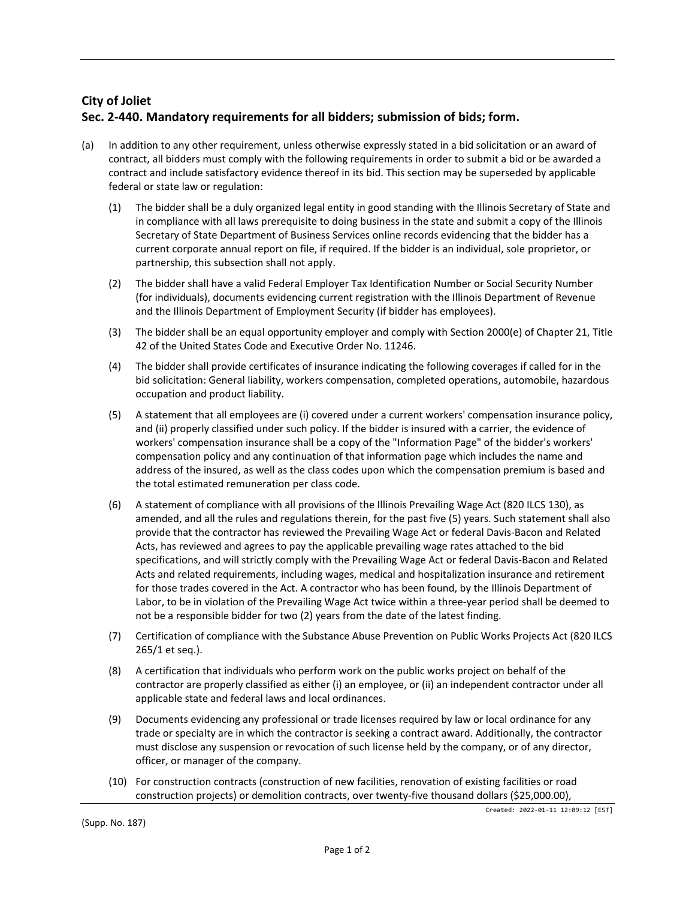# **City of Joliet Sec. 2-440. Mandatory requirements for all bidders; submission of bids; form.**

- (a) In addition to any other requirement, unless otherwise expressly stated in a bid solicitation or an award of contract, all bidders must comply with the following requirements in order to submit a bid or be awarded a contract and include satisfactory evidence thereof in its bid. This section may be superseded by applicable federal or state law or regulation:
	- (1) The bidder shall be a duly organized legal entity in good standing with the Illinois Secretary of State and in compliance with all laws prerequisite to doing business in the state and submit a copy of the Illinois Secretary of State Department of Business Services online records evidencing that the bidder has a current corporate annual report on file, if required. If the bidder is an individual, sole proprietor, or partnership, this subsection shall not apply.
	- (2) The bidder shall have a valid Federal Employer Tax Identification Number or Social Security Number (for individuals), documents evidencing current registration with the Illinois Department of Revenue and the Illinois Department of Employment Security (if bidder has employees).
	- (3) The bidder shall be an equal opportunity employer and comply with Section 2000(e) of Chapter 21, Title 42 of the United States Code and Executive Order No. 11246.
	- (4) The bidder shall provide certificates of insurance indicating the following coverages if called for in the bid solicitation: General liability, workers compensation, completed operations, automobile, hazardous occupation and product liability.
	- (5) A statement that all employees are (i) covered under a current workers' compensation insurance policy, and (ii) properly classified under such policy. If the bidder is insured with a carrier, the evidence of workers' compensation insurance shall be a copy of the "Information Page" of the bidder's workers' compensation policy and any continuation of that information page which includes the name and address of the insured, as well as the class codes upon which the compensation premium is based and the total estimated remuneration per class code.
	- (6) A statement of compliance with all provisions of the Illinois Prevailing Wage Act (820 ILCS 130), as amended, and all the rules and regulations therein, for the past five (5) years. Such statement shall also provide that the contractor has reviewed the Prevailing Wage Act or federal Davis-Bacon and Related Acts, has reviewed and agrees to pay the applicable prevailing wage rates attached to the bid specifications, and will strictly comply with the Prevailing Wage Act or federal Davis-Bacon and Related Acts and related requirements, including wages, medical and hospitalization insurance and retirement for those trades covered in the Act. A contractor who has been found, by the Illinois Department of Labor, to be in violation of the Prevailing Wage Act twice within a three-year period shall be deemed to not be a responsible bidder for two (2) years from the date of the latest finding.
	- (7) Certification of compliance with the Substance Abuse Prevention on Public Works Projects Act (820 ILCS 265/1 et seq.).
	- (8) A certification that individuals who perform work on the public works project on behalf of the contractor are properly classified as either (i) an employee, or (ii) an independent contractor under all applicable state and federal laws and local ordinances.
	- (9) Documents evidencing any professional or trade licenses required by law or local ordinance for any trade or specialty are in which the contractor is seeking a contract award. Additionally, the contractor must disclose any suspension or revocation of such license held by the company, or of any director, officer, or manager of the company.
	- (10) For construction contracts (construction of new facilities, renovation of existing facilities or road construction projects) or demolition contracts, over twenty-five thousand dollars (\$25,000.00),

Created: 2022-01-11 12:09:12 [EST]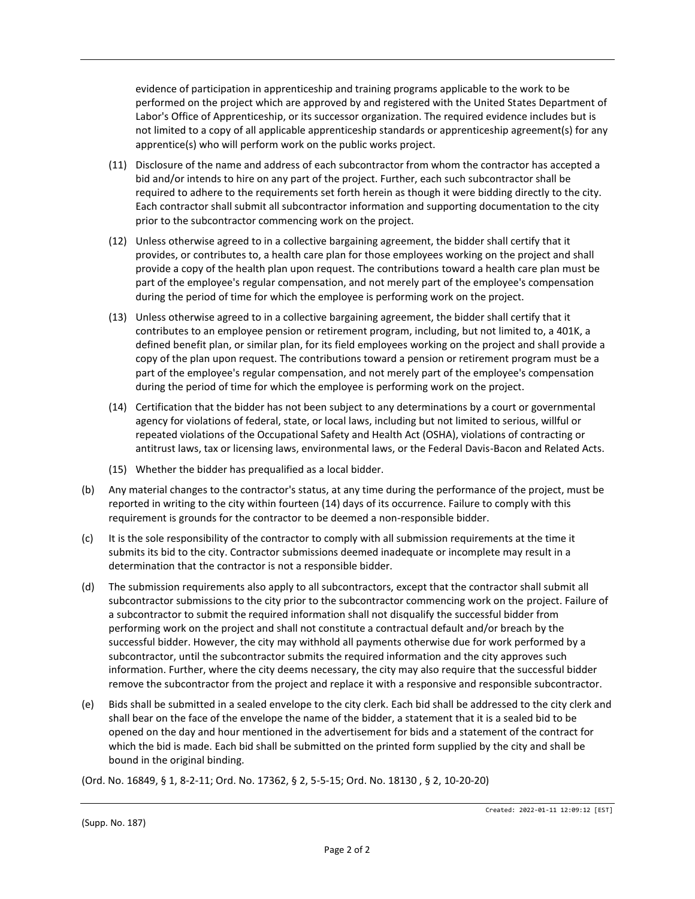evidence of participation in apprenticeship and training programs applicable to the work to be performed on the project which are approved by and registered with the United States Department of Labor's Office of Apprenticeship, or its successor organization. The required evidence includes but is not limited to a copy of all applicable apprenticeship standards or apprenticeship agreement(s) for any apprentice(s) who will perform work on the public works project.

- (11) Disclosure of the name and address of each subcontractor from whom the contractor has accepted a bid and/or intends to hire on any part of the project. Further, each such subcontractor shall be required to adhere to the requirements set forth herein as though it were bidding directly to the city. Each contractor shall submit all subcontractor information and supporting documentation to the city prior to the subcontractor commencing work on the project.
- (12) Unless otherwise agreed to in a collective bargaining agreement, the bidder shall certify that it provides, or contributes to, a health care plan for those employees working on the project and shall provide a copy of the health plan upon request. The contributions toward a health care plan must be part of the employee's regular compensation, and not merely part of the employee's compensation during the period of time for which the employee is performing work on the project.
- (13) Unless otherwise agreed to in a collective bargaining agreement, the bidder shall certify that it contributes to an employee pension or retirement program, including, but not limited to, a 401K, a defined benefit plan, or similar plan, for its field employees working on the project and shall provide a copy of the plan upon request. The contributions toward a pension or retirement program must be a part of the employee's regular compensation, and not merely part of the employee's compensation during the period of time for which the employee is performing work on the project.
- (14) Certification that the bidder has not been subject to any determinations by a court or governmental agency for violations of federal, state, or local laws, including but not limited to serious, willful or repeated violations of the Occupational Safety and Health Act (OSHA), violations of contracting or antitrust laws, tax or licensing laws, environmental laws, or the Federal Davis-Bacon and Related Acts.
- (15) Whether the bidder has prequalified as a local bidder.
- (b) Any material changes to the contractor's status, at any time during the performance of the project, must be reported in writing to the city within fourteen (14) days of its occurrence. Failure to comply with this requirement is grounds for the contractor to be deemed a non-responsible bidder.
- (c) It is the sole responsibility of the contractor to comply with all submission requirements at the time it submits its bid to the city. Contractor submissions deemed inadequate or incomplete may result in a determination that the contractor is not a responsible bidder.
- (d) The submission requirements also apply to all subcontractors, except that the contractor shall submit all subcontractor submissions to the city prior to the subcontractor commencing work on the project. Failure of a subcontractor to submit the required information shall not disqualify the successful bidder from performing work on the project and shall not constitute a contractual default and/or breach by the successful bidder. However, the city may withhold all payments otherwise due for work performed by a subcontractor, until the subcontractor submits the required information and the city approves such information. Further, where the city deems necessary, the city may also require that the successful bidder remove the subcontractor from the project and replace it with a responsive and responsible subcontractor.
- (e) Bids shall be submitted in a sealed envelope to the city clerk. Each bid shall be addressed to the city clerk and shall bear on the face of the envelope the name of the bidder, a statement that it is a sealed bid to be opened on the day and hour mentioned in the advertisement for bids and a statement of the contract for which the bid is made. Each bid shall be submitted on the printed form supplied by the city and shall be bound in the original binding.

(Ord. No. 16849, § 1, 8-2-11; Ord. No. 17362, § 2, 5-5-15; Ord. No. 18130 , § 2, 10-20-20)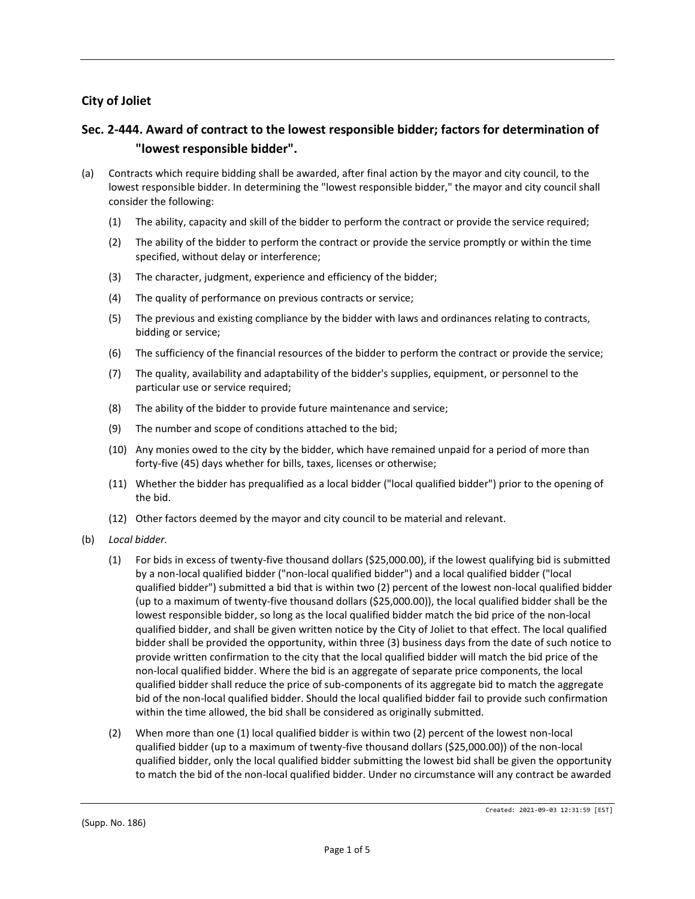## **City of Joliet**

# **Sec. 2-444. Award of contract to the lowest responsible bidder; factors for determination of "lowest responsible bidder".**

- (a) Contracts which require bidding shall be awarded, after final action by the mayor and city council, to the lowest responsible bidder. In determining the "lowest responsible bidder," the mayor and city council shall consider the following:
	- (1) The ability, capacity and skill of the bidder to perform the contract or provide the service required;
	- (2) The ability of the bidder to perform the contract or provide the service promptly or within the time specified, without delay or interference;
	- (3) The character, judgment, experience and efficiency of the bidder;
	- (4) The quality of performance on previous contracts or service;
	- (5) The previous and existing compliance by the bidder with laws and ordinances relating to contracts, bidding or service;
	- (6) The sufficiency of the financial resources of the bidder to perform the contract or provide the service;
	- (7) The quality, availability and adaptability of the bidder's supplies, equipment, or personnel to the particular use or service required;
	- (8) The ability of the bidder to provide future maintenance and service;
	- (9) The number and scope of conditions attached to the bid;
	- (10) Any monies owed to the city by the bidder, which have remained unpaid for a period of more than forty-five (45) days whether for bills, taxes, licenses or otherwise;
	- (11) Whether the bidder has prequalified as a local bidder ("local qualified bidder") prior to the opening of the bid.
	- (12) Other factors deemed by the mayor and city council to be material and relevant.
- (b) *Local bidder.*
	- (1) For bids in excess of twenty-five thousand dollars (\$25,000.00), if the lowest qualifying bid is submitted by a non-local qualified bidder ("non-local qualified bidder") and a local qualified bidder ("local qualified bidder") submitted a bid that is within two (2) percent of the lowest non-local qualified bidder (up to a maximum of twenty-five thousand dollars (\$25,000.00)), the local qualified bidder shall be the lowest responsible bidder, so long as the local qualified bidder match the bid price of the non-local qualified bidder, and shall be given written notice by the City of Joliet to that effect. The local qualified bidder shall be provided the opportunity, within three (3) business days from the date of such notice to provide written confirmation to the city that the local qualified bidder will match the bid price of the non-local qualified bidder. Where the bid is an aggregate of separate price components, the local qualified bidder shall reduce the price of sub-components of its aggregate bid to match the aggregate bid of the non-local qualified bidder. Should the local qualified bidder fail to provide such confirmation within the time allowed, the bid shall be considered as originally submitted.
	- (2) When more than one (1) local qualified bidder is within two (2) percent of the lowest non-local qualified bidder (up to a maximum of twenty-five thousand dollars (\$25,000.00)) of the non-local qualified bidder, only the local qualified bidder submitting the lowest bid shall be given the opportunity to match the bid of the non-local qualified bidder. Under no circumstance will any contract be awarded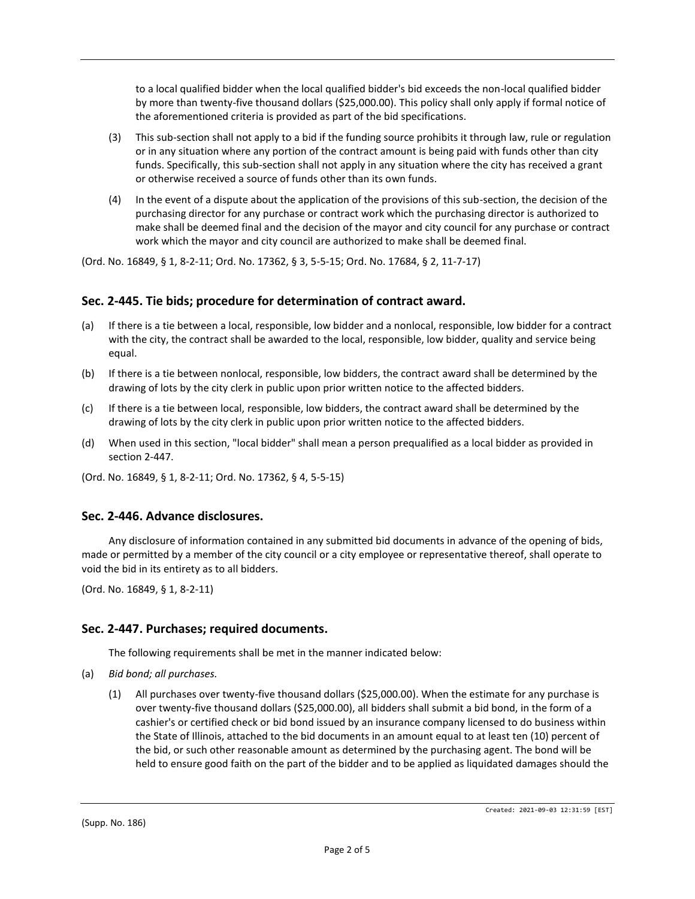to a local qualified bidder when the local qualified bidder's bid exceeds the non-local qualified bidder by more than twenty-five thousand dollars (\$25,000.00). This policy shall only apply if formal notice of the aforementioned criteria is provided as part of the bid specifications.

- (3) This sub-section shall not apply to a bid if the funding source prohibits it through law, rule or regulation or in any situation where any portion of the contract amount is being paid with funds other than city funds. Specifically, this sub-section shall not apply in any situation where the city has received a grant or otherwise received a source of funds other than its own funds.
- (4) In the event of a dispute about the application of the provisions of this sub-section, the decision of the purchasing director for any purchase or contract work which the purchasing director is authorized to make shall be deemed final and the decision of the mayor and city council for any purchase or contract work which the mayor and city council are authorized to make shall be deemed final.

(Ord. No. 16849, § 1, 8-2-11; Ord. No. 17362, § 3, 5-5-15; Ord. No. 17684, § 2, 11-7-17)

### **Sec. 2-445. Tie bids; procedure for determination of contract award.**

- (a) If there is a tie between a local, responsible, low bidder and a nonlocal, responsible, low bidder for a contract with the city, the contract shall be awarded to the local, responsible, low bidder, quality and service being equal.
- (b) If there is a tie between nonlocal, responsible, low bidders, the contract award shall be determined by the drawing of lots by the city clerk in public upon prior written notice to the affected bidders.
- (c) If there is a tie between local, responsible, low bidders, the contract award shall be determined by the drawing of lots by the city clerk in public upon prior written notice to the affected bidders.
- (d) When used in this section, "local bidder" shall mean a person prequalified as a local bidder as provided in section 2-447.
- (Ord. No. 16849, § 1, 8-2-11; Ord. No. 17362, § 4, 5-5-15)

### **Sec. 2-446. Advance disclosures.**

Any disclosure of information contained in any submitted bid documents in advance of the opening of bids, made or permitted by a member of the city council or a city employee or representative thereof, shall operate to void the bid in its entirety as to all bidders.

(Ord. No. 16849, § 1, 8-2-11)

### **Sec. 2-447. Purchases; required documents.**

The following requirements shall be met in the manner indicated below:

- (a) *Bid bond; all purchases.*
	- (1) All purchases over twenty-five thousand dollars (\$25,000.00). When the estimate for any purchase is over twenty-five thousand dollars (\$25,000.00), all bidders shall submit a bid bond, in the form of a cashier's or certified check or bid bond issued by an insurance company licensed to do business within the State of Illinois, attached to the bid documents in an amount equal to at least ten (10) percent of the bid, or such other reasonable amount as determined by the purchasing agent. The bond will be held to ensure good faith on the part of the bidder and to be applied as liquidated damages should the

(Supp. No. 186)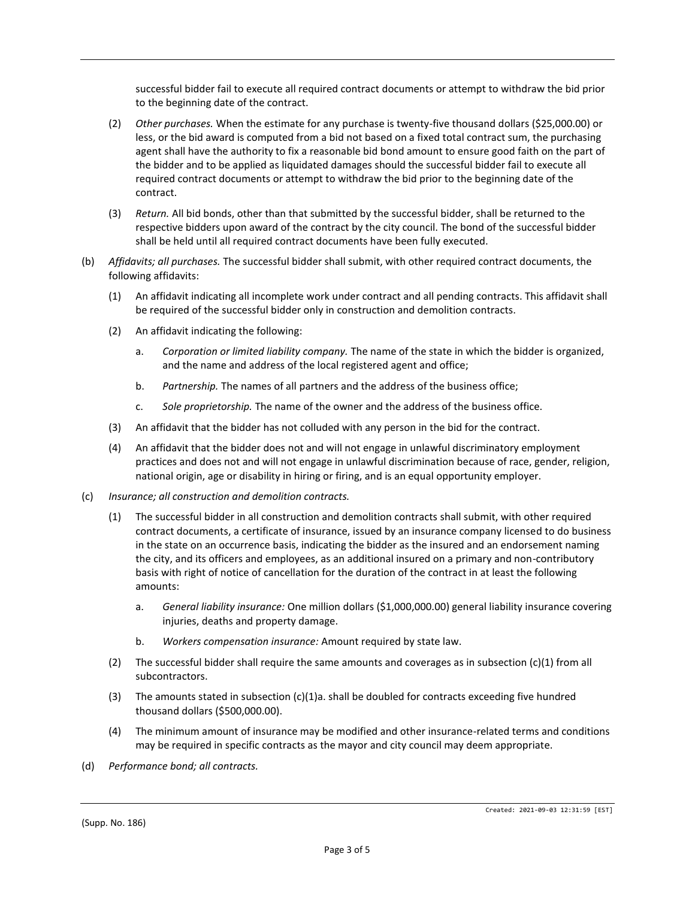successful bidder fail to execute all required contract documents or attempt to withdraw the bid prior to the beginning date of the contract.

- (2) *Other purchases.* When the estimate for any purchase is twenty-five thousand dollars (\$25,000.00) or less, or the bid award is computed from a bid not based on a fixed total contract sum, the purchasing agent shall have the authority to fix a reasonable bid bond amount to ensure good faith on the part of the bidder and to be applied as liquidated damages should the successful bidder fail to execute all required contract documents or attempt to withdraw the bid prior to the beginning date of the contract.
- (3) *Return.* All bid bonds, other than that submitted by the successful bidder, shall be returned to the respective bidders upon award of the contract by the city council. The bond of the successful bidder shall be held until all required contract documents have been fully executed.
- (b) *Affidavits; all purchases.* The successful bidder shall submit, with other required contract documents, the following affidavits:
	- (1) An affidavit indicating all incomplete work under contract and all pending contracts. This affidavit shall be required of the successful bidder only in construction and demolition contracts.
	- (2) An affidavit indicating the following:
		- a. *Corporation or limited liability company.* The name of the state in which the bidder is organized, and the name and address of the local registered agent and office;
		- b. *Partnership.* The names of all partners and the address of the business office;
		- c. *Sole proprietorship.* The name of the owner and the address of the business office.
	- (3) An affidavit that the bidder has not colluded with any person in the bid for the contract.
	- (4) An affidavit that the bidder does not and will not engage in unlawful discriminatory employment practices and does not and will not engage in unlawful discrimination because of race, gender, religion, national origin, age or disability in hiring or firing, and is an equal opportunity employer.
- (c) *Insurance; all construction and demolition contracts.*
	- (1) The successful bidder in all construction and demolition contracts shall submit, with other required contract documents, a certificate of insurance, issued by an insurance company licensed to do business in the state on an occurrence basis, indicating the bidder as the insured and an endorsement naming the city, and its officers and employees, as an additional insured on a primary and non-contributory basis with right of notice of cancellation for the duration of the contract in at least the following amounts:
		- a. *General liability insurance:* One million dollars (\$1,000,000.00) general liability insurance covering injuries, deaths and property damage.
		- b. *Workers compensation insurance:* Amount required by state law.
	- (2) The successful bidder shall require the same amounts and coverages as in subsection (c)(1) from all subcontractors.
	- (3) The amounts stated in subsection (c)(1)a. shall be doubled for contracts exceeding five hundred thousand dollars (\$500,000.00).
	- (4) The minimum amount of insurance may be modified and other insurance-related terms and conditions may be required in specific contracts as the mayor and city council may deem appropriate.
- (d) *Performance bond; all contracts.*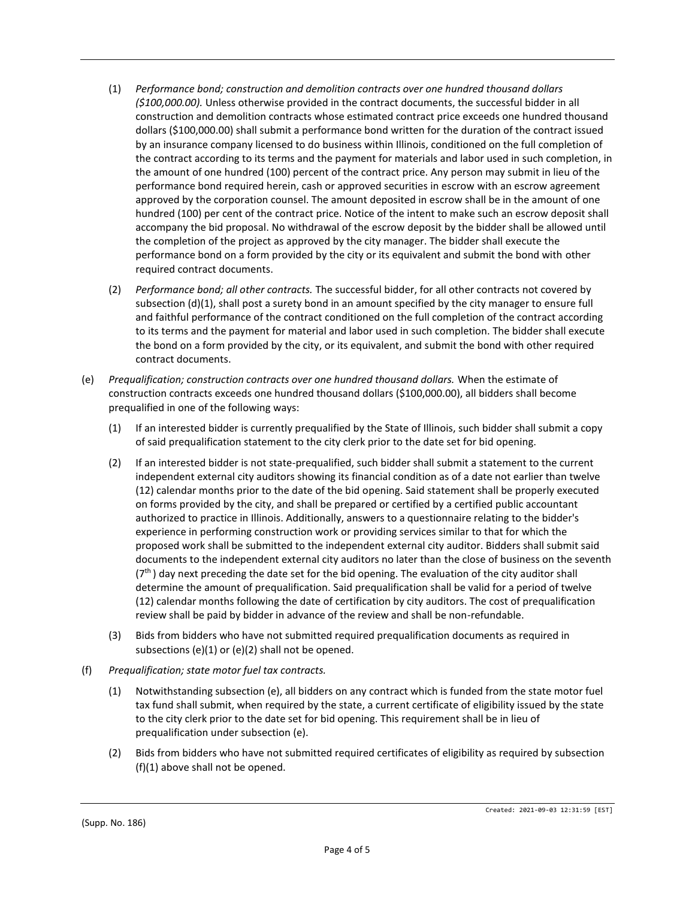- (1) *Performance bond; construction and demolition contracts over one hundred thousand dollars (\$100,000.00).* Unless otherwise provided in the contract documents, the successful bidder in all construction and demolition contracts whose estimated contract price exceeds one hundred thousand dollars (\$100,000.00) shall submit a performance bond written for the duration of the contract issued by an insurance company licensed to do business within Illinois, conditioned on the full completion of the contract according to its terms and the payment for materials and labor used in such completion, in the amount of one hundred (100) percent of the contract price. Any person may submit in lieu of the performance bond required herein, cash or approved securities in escrow with an escrow agreement approved by the corporation counsel. The amount deposited in escrow shall be in the amount of one hundred (100) per cent of the contract price. Notice of the intent to make such an escrow deposit shall accompany the bid proposal. No withdrawal of the escrow deposit by the bidder shall be allowed until the completion of the project as approved by the city manager. The bidder shall execute the performance bond on a form provided by the city or its equivalent and submit the bond with other required contract documents.
- (2) *Performance bond; all other contracts.* The successful bidder, for all other contracts not covered by subsection (d)(1), shall post a surety bond in an amount specified by the city manager to ensure full and faithful performance of the contract conditioned on the full completion of the contract according to its terms and the payment for material and labor used in such completion. The bidder shall execute the bond on a form provided by the city, or its equivalent, and submit the bond with other required contract documents.
- (e) *Prequalification; construction contracts over one hundred thousand dollars.* When the estimate of construction contracts exceeds one hundred thousand dollars (\$100,000.00), all bidders shall become prequalified in one of the following ways:
	- (1) If an interested bidder is currently prequalified by the State of Illinois, such bidder shall submit a copy of said prequalification statement to the city clerk prior to the date set for bid opening.
	- (2) If an interested bidder is not state-prequalified, such bidder shall submit a statement to the current independent external city auditors showing its financial condition as of a date not earlier than twelve (12) calendar months prior to the date of the bid opening. Said statement shall be properly executed on forms provided by the city, and shall be prepared or certified by a certified public accountant authorized to practice in Illinois. Additionally, answers to a questionnaire relating to the bidder's experience in performing construction work or providing services similar to that for which the proposed work shall be submitted to the independent external city auditor. Bidders shall submit said documents to the independent external city auditors no later than the close of business on the seventh  $(7<sup>th</sup>)$  day next preceding the date set for the bid opening. The evaluation of the city auditor shall determine the amount of prequalification. Said prequalification shall be valid for a period of twelve (12) calendar months following the date of certification by city auditors. The cost of prequalification review shall be paid by bidder in advance of the review and shall be non-refundable.
	- (3) Bids from bidders who have not submitted required prequalification documents as required in subsections (e)(1) or (e)(2) shall not be opened.
- (f) *Prequalification; state motor fuel tax contracts.*
	- (1) Notwithstanding subsection (e), all bidders on any contract which is funded from the state motor fuel tax fund shall submit, when required by the state, a current certificate of eligibility issued by the state to the city clerk prior to the date set for bid opening. This requirement shall be in lieu of prequalification under subsection (e).
	- (2) Bids from bidders who have not submitted required certificates of eligibility as required by subsection (f)(1) above shall not be opened.

(Supp. No. 186)